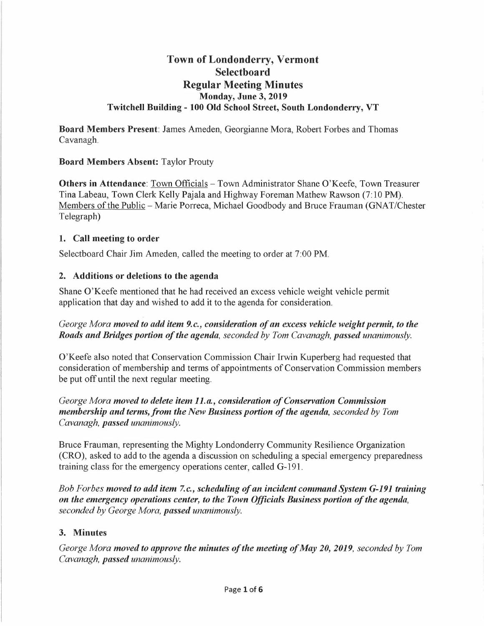# **Town of Londonderry, Vermont Selectboard Regular Meeting Minutes Monday, June 3, 2019 Twitchell Building - 100 Old School Street, South Londonderry, VT**

**Board Members Present:** James Ameden, Georgianne Mora, Robert Forbes and Thomas Cavanagh.

## **Board Members Absent:** Taylor Prouty

**Others in Attendance: Town Officials - Town Administrator Shane O'Keefe, Town Treasurer** Tina Labeau, Town Clerk Kelly Pajala and Highway Foreman Mathew Rawson (7: 10 PM). Members of the Public - Marie Porreca, Michael Goodbody and Bruce Frauman (GNAT/Chester Telegraph)

#### **1. Call meeting to order**

Selectboard Chair Jim Ameden, called the meeting to order at 7:00 PM.

## **2. Additions or deletions to the agenda**

Shane O'Keefe mentioned that he had received an excess vehicle weight vehicle permit application that day and wished to add it to the agenda for consideration.

## *George Mora moved to add item 9.c., consideration of an excess vehicle weight permit, to the Roads and Bridges portion of the agenda, seconded by Tom Cavanagh, passed unanimously.*

O'Keefe also noted that Conservation Commission Chair Irwin Kuperberg had requested that consideration of membership and terms of appointments of Conservation Commission members be put off until the next regular meeting.

*George Mora moved to delete item 11.a, consideration of Conservation Commission membership and terms,from the New Business portion of the agenda, seconded by Tom Cavanagh, passed unanimously.* 

Bruce Frauman, representing the Mighty Londonderry Community Resilience Organization (CRO), asked to add to the agenda a discussion on scheduling a special emergency preparedness training class for the emergency operations center, called G-191.

*Bob Forbes moved to add item 7.c., scheduling of an incident command System G-191 training on the emergency operations center, to the Town Officials Business portion of the agenda, seconded by George Mora, passed unanimously.* 

## **3. Minutes**

*George Mora moved to approve the minutes of the meeting of May 20, 2019, seconded by Tom Cavanagh, passed unanimously.*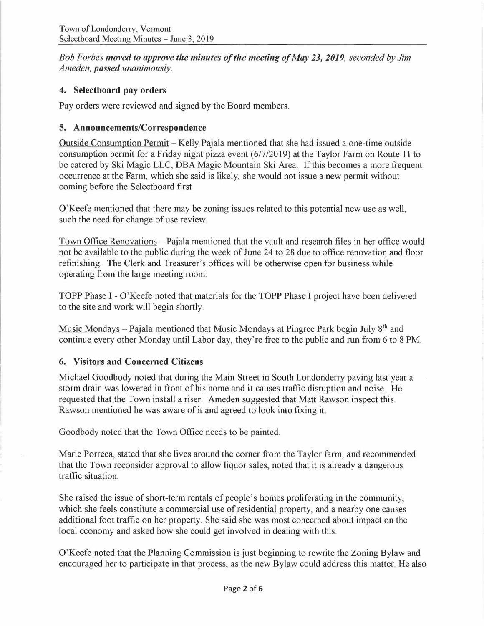*Bob Forbes moved to approve the minutes of the meeting of May 23, 2019, seconded by Jim Ameden, passed unanimously.* 

## **4. Selectboard pay orders**

Pay orders were reviewed and signed by the Board members.

## **5. Announcements/Correspondence**

Outside Consumption Permit - Kelly Pajala mentioned that she had issued a one-time outside consumption permit for a Friday night pizza event (6/7/2019) at the Taylor Farm on Route 11 to be catered by Ski Magic LLC, DBA Magic Mountain Ski Area. If this becomes a more frequent occurrence at the Farm, which she said is likely, she would not issue a new permit without coming before the Selectboard first.

O'Keefe mentioned that there may be zoning issues related to this potential new use as well, such the need for change of use review.

Town Office Renovations – Pajala mentioned that the vault and research files in her office would not be available to the public during the week of June 24 to 28 due to office renovation and floor refinishing. The Clerk and Treasurer's offices will be otherwise open for business while operating from the large meeting room.

TOPP Phase I - O'Keefe noted that materials for the TOPP Phase I project have been delivered to the site and work will begin shortly.

Music Mondays - Pajala mentioned that Music Mondays at Pingree Park begin July 8<sup>th</sup> and continue every other Monday until Labor day, they're free to the public and run from 6 to 8 PM.

## **6. Visitors and Concerned Citizens**

Michael Goodbody noted that during the Main Street in South Londonderry paving last year a storm drain was lowered in front of his home and it causes traffic disruption and noise. He requested that the Town install a riser. Ameden suggested that Matt Rawson inspect this. Rawson mentioned he was aware of it and agreed to look into fixing it.

Goodbody noted that the Town Office needs to be painted.

Marie Porreca, stated that she lives around the comer from the Taylor farm, and recommended that the Town reconsider approval to allow liquor sales, noted that it is already a dangerous traffic situation.

She raised the issue of short-term rentals of people's homes proliferating in the community, which she feels constitute a commercial use of residential property, and a nearby one causes additional foot traffic on her property. She said she was most concerned about impact on the local economy and asked how she could get involved in dealing with this.

O'Keefe noted that the Planning Commission is just beginning to rewrite the Zoning Bylaw and encouraged her to participate in that process, as the new Bylaw could address this matter. He also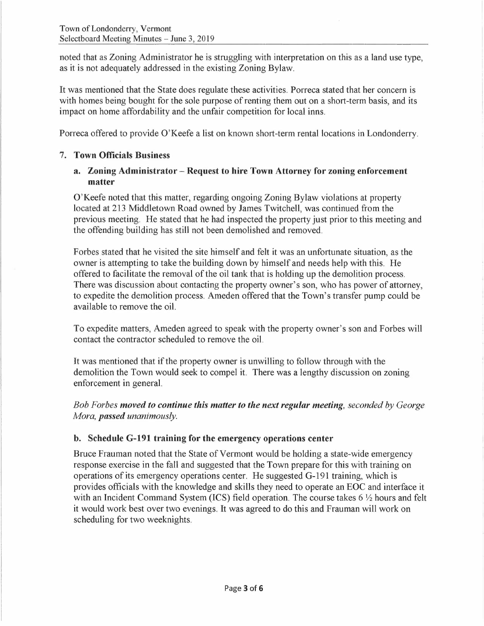noted that as Zoning Administrator he is struggling with interpretation on this as a land use type, as it is not adequately addressed in the existing Zoning Bylaw.

It was mentioned that the State does regulate these activities. Porreca stated that her concern is with homes being bought for the sole purpose of renting them out on a short-term basis, and its impact on home affordability and the unfair competition for local inns.

Porreca offered to provide O'Keefe a list on known short-term rental locations in Londonderry.

## 7. **Town Officials Business**

## **a. Zoning Administrator - Request to hire Town Attorney for zoning enforcement matter**

O'Keefe noted that this matter, regarding ongoing Zoning Bylaw violations at property located at 213 Middletown Road owned by James Twitchell, was continued from the previous meeting. He stated that he had inspected the property just prior to this meeting and the offending building has still not been demolished and removed.

Forbes stated that he visited the site himself and felt it was an unfortunate situation, as the owner is attempting to take the building down by himself and needs help with this. He offered to facilitate the removal of the oil tank that is holding up the demolition process. There was discussion about contacting the property owner's son, who has power of attorney, to expedite the demolition process. Ameden offered that the Town's transfer pump could be available to remove the oil.

To expedite matters, Ameden agreed to speak with the property owner's son and Forbes will contact the contractor scheduled to remove the oil.

It was mentioned that if the property owner is unwilling to follow through with the demolition the Town would seek to compel it. There was a lengthy discussion on zoning enforcement in general.

*Bob Forbes moved to continue this matter to the next regular meeting, seconded by George Mora, passed unanimously.* 

#### **b. Schedule G-191 training for the emergency operations center**

Bruce Frauman noted that the State of Vermont would be holding a state-wide emergency response exercise in the fall and suggested that the Town prepare for this with training on operations of its emergency operations center. He suggested G-191 training, which is provides officials with the knowledge and skills they need to operate an EOC and interface it with an Incident Command System (ICS) field operation. The course takes 6  $\frac{1}{2}$  hours and felt it would work best over two evenings. It was agreed to do this and Frauman will work on scheduling for two weeknights.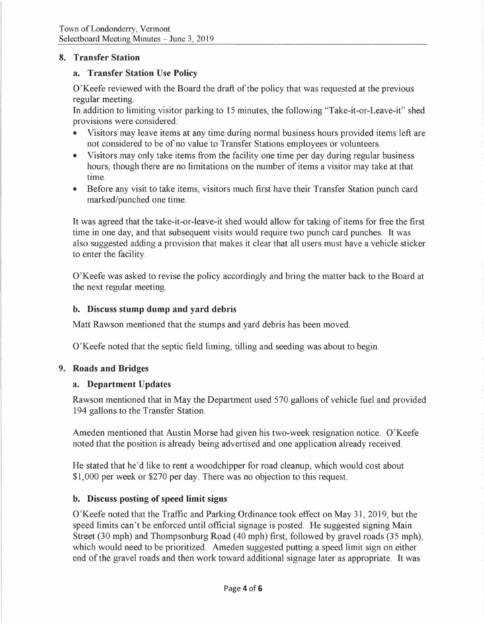## **8. Transfer Station**

#### **a. Transfer Station Use Policy**

O'Keefe reviewed with the Board the draft of the policy that was requested at the previous regular meeting.

In addition to limiting visitor parking to 15 minutes, the following "Take-it-or-Leave-it" shed provisions were considered:

- Visitors may leave items at any time during normal business hours provided items left are not considered to be of no value to Transfer Stations employees or volunteers.
- Visitors may only take items from the facility one time per day during regular business hours, though there are no limitations on the number of items a visitor may take at that time.
- Before any visit to take items, visitors much first have their Transfer Station punch card marked/punched one time.

It was agreed that the take-it-or-leave-it shed would allow for taking of items for free the first time in one day, and that subsequent visits would require two punch card punches. It was also suggested adding a provision that makes it clear that all users must have a vehicle sticker to enter the facility.

O'Keefe was asked to revise the policy accordingly and bring the matter back to the Board at the next regular meeting.

## **b. Discuss stump dump and yard debris**

Matt Rawson mentioned that the stumps and yard debris has been moved.

O'Keefe noted that the septic field liming, tilling and seeding was about to begin.

#### **9. Roads and Bridges**

#### **a. Department Updates**

Rawson mentioned that inMay the Department used 570 gallons of vehicle fuel and provided 194 gallons to the Transfer Station.

Ameden mentioned that Austin Morse had given his two-week resignation notice. O'Keefe noted that the position is already being advertised and one application already received.

He stated that he'd like to rent a woodchipper for road cleanup, which would cost about \$1,000 per week or \$270 per day. There was no objection to this request.

#### **b. Discuss posting of speed limit signs**

O'Keefe noted that the Traffic and Parking Ordinance took effect on May 31, 2019, but the speed limits can't be enforced until official signage is posted. He suggested signing Main Street (30 mph) and Thompsonburg Road (40 mph) first, followed by gravel roads (35 mph), which would need to be prioritized. Ameden suggested putting a speed limit sign on either end of the gravel roads and then work toward additional signage later as appropriate. It was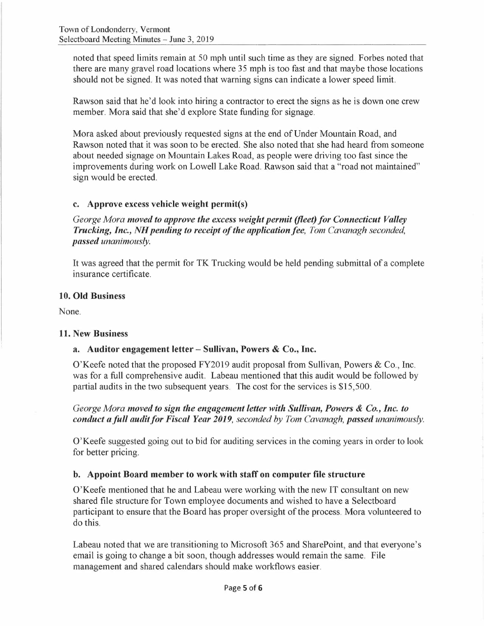noted that speed limits remain at 50 mph until such time as they are signed. Forbes noted that there are many gravel road locations where 35 mph is too fast and that maybe those locations should not be signed. It was noted that warning signs can indicate a lower speed limit.

Rawson said that he'd look into hiring a contractor to erect the signs as he is down one crew member. Mora said that she'd explore State funding for signage.

Mora asked about previously requested signs at the end of Under Mountain Road, and Rawson noted that it was soon to be erected. She also noted that she had heard from someone about needed signage on Mountain Lakes Road, as people were driving too fast since the improvements during work on Lowell Lake Road. Rawson said that a "road not maintained" sign would be erected.

## **c. Approve excess vehicle weight permit(s)**

*George Mora moved to approve the excess weight permit (fleet) for Connecticut Valley Trucking, Inc., NH pending to receipt of the application fee, Tom Cavanagh seconded, passed unanimously.* 

It was agreed that the permit for TK Trucking would be held pending submittal of a complete insurance certificate.

#### **10. Old Business**

None.

#### **11. New Business**

## **a. Auditor engagement letter - Sullivan, Powers** & **Co., Inc.**

O'Keefe noted that the proposed FY2019 audit proposal from Sullivan, Powers & Co., Inc. was for a full comprehensive audit. Labeau mentioned that this audit would be followed by partial audits in the two subsequent years. The cost for the services is \$15,500.

*George Mora moved to sign the engagement letter with Sullivan, Powers* & *Co., Inc. to conduct a full audit for Fiscal Year 2019, seconded by Tom Cavanagh, passed unanimously.* 

O'Keefe suggested going out to bid for auditing services in the coming years in order to look for better pricing.

## **b. Appoint Board member to work with staff on computer file structure**

O'Keefe mentioned that he and Labeau were working with the new IT consultant on new shared file structure for Town employee documents and wished to have a Selectboard participant to ensure that the Board has proper oversight of the process. Mora volunteered to do this.

Labeau noted that we are transitioning to Microsoft 365 and SharePoint, and that everyone's email is going to change a bit soon, though addresses would remain the same. File management and shared calendars should make workflows easier.